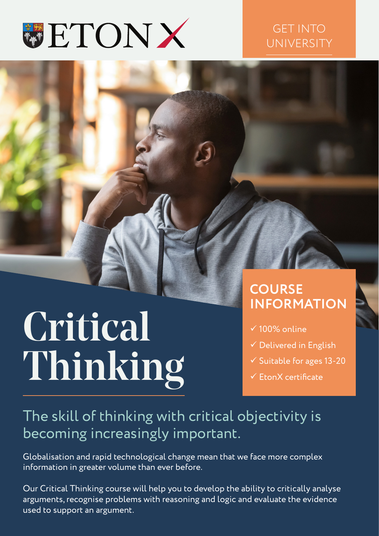

#### GET INTO UNIVERSITY

# Critical Thinking

#### **COURSE INFORMATION**

- $\times$  100% online
- $\checkmark$  Delivered in English
- $\checkmark$  Suitable for ages 13-20
- $\checkmark$  EtonX certificate

### The skill of thinking with critical objectivity is becoming increasingly important.

Globalisation and rapid technological change mean that we face more complex information in greater volume than ever before.

Our Critical Thinking course will help you to develop the ability to critically analyse arguments, recognise problems with reasoning and logic and evaluate the evidence used to support an argument.